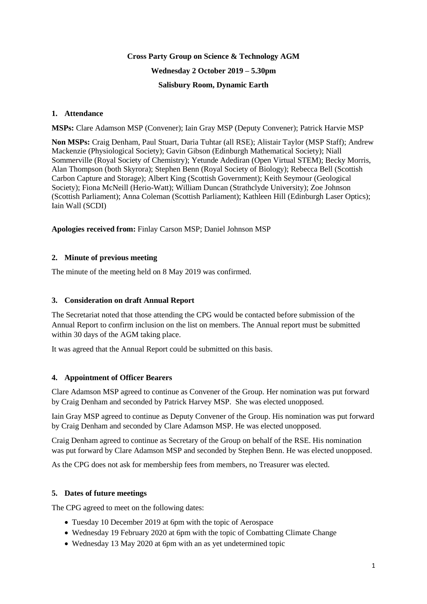# **Cross Party Group on Science & Technology AGM Wednesday 2 October 2019 – 5.30pm Salisbury Room, Dynamic Earth**

## **1. Attendance**

**MSPs:** Clare Adamson MSP (Convener); Iain Gray MSP (Deputy Convener); Patrick Harvie MSP

**Non MSPs:** Craig Denham, Paul Stuart, Daria Tuhtar (all RSE); Alistair Taylor (MSP Staff); Andrew Mackenzie (Physiological Society); Gavin Gibson (Edinburgh Mathematical Society); Niall Sommerville (Royal Society of Chemistry); Yetunde Adediran (Open Virtual STEM); Becky Morris, Alan Thompson (both Skyrora); Stephen Benn (Royal Society of Biology); Rebecca Bell (Scottish Carbon Capture and Storage); Albert King (Scottish Government); Keith Seymour (Geological Society); Fiona McNeill (Herio-Watt); William Duncan (Strathclyde University); Zoe Johnson (Scottish Parliament); Anna Coleman (Scottish Parliament); Kathleen Hill (Edinburgh Laser Optics); Iain Wall (SCDI)

## **Apologies received from:** Finlay Carson MSP; Daniel Johnson MSP

## **2. Minute of previous meeting**

The minute of the meeting held on 8 May 2019 was confirmed.

## **3. Consideration on draft Annual Report**

The Secretariat noted that those attending the CPG would be contacted before submission of the Annual Report to confirm inclusion on the list on members. The Annual report must be submitted within 30 days of the AGM taking place.

It was agreed that the Annual Report could be submitted on this basis.

#### **4. Appointment of Officer Bearers**

Clare Adamson MSP agreed to continue as Convener of the Group. Her nomination was put forward by Craig Denham and seconded by Patrick Harvey MSP. She was elected unopposed.

Iain Gray MSP agreed to continue as Deputy Convener of the Group. His nomination was put forward by Craig Denham and seconded by Clare Adamson MSP. He was elected unopposed.

Craig Denham agreed to continue as Secretary of the Group on behalf of the RSE. His nomination was put forward by Clare Adamson MSP and seconded by Stephen Benn. He was elected unopposed.

As the CPG does not ask for membership fees from members, no Treasurer was elected.

#### **5. Dates of future meetings**

The CPG agreed to meet on the following dates:

- Tuesday 10 December 2019 at 6pm with the topic of Aerospace
- Wednesday 19 February 2020 at 6pm with the topic of Combatting Climate Change
- Wednesday 13 May 2020 at 6pm with an as yet undetermined topic